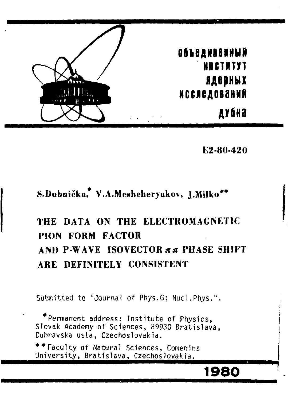

**Е2-80-420** 

## **S.Dubnicka, V.A.Meshcheryakov, J.Milko\*\***

# **THE DATA ON THE ELECTROMAGNETIC PION FORM FACTOR AND P-WAVE ISOVECTOR AA PHASE SHIFT ARE DEFINITELY CONSISTENT**

Submitted to "Journal of Phys.G; Nucl.Phys.".

\*Permanent address: Institute of Physics, Slovak Academy of Sciences, 89930 Bratislava, Dubravska usta, Czechoslovakia.

\*\* Faculty of Natural Sciences, Comenins University, Bratislava, Czechoslovakia.

# **1980**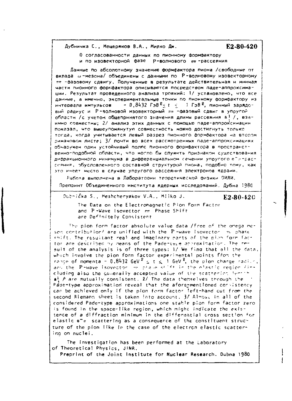Дубничка С., Мещеряков В.А., Милко Дм.

E2-80-420

0 согдасованности данных по пионному формфактору и по изовекторной фазе Р-волнового пт-расселния

Данные по абсолютному значению формфактора пиона /свободные от вклада ш-мезона/ объединены с данными по Р-волновому изовекторному пе -фазовому сдвигу. Полученные в результате действительная и мнимая части пионного формфактора описываются посредством паде-аппроксимации. Результат проведенного анализа троякий: 1/ установлено, что все данные, а именно, экспериментальные точки по пионному формфактору из  $-0.8432$  ГэВ $-1$  ГэВ $-1$  пионный зарядоинтервала импульсов вый радиус и Р-волновой изовекторный пп -фазовый сдвиг в упругой области /с учетом общепринятого значения длины рассеяния в! /, взаимно совместны, 2/ анализ этих данных с помощью паде-аппроксимации показал, что вышеупомянутую совместность можно достигнуть только тогда, когда учитывается левый разрез пионного формфактора на втором римановом листе; 3/ почти во всех рассмотренных паде-аппроксимациях обнаружен один устойчивый поллс пионного формфактора в пространственно-подобной области, что могло бы служить признаком существования дифражционного минимума в дифференциальном сечении упругого егитраст сеяния, обусловленного составной структурой пиона, подобно тому, как это имеет место в случае упругого рассеяния электронов ядрами.

Работа выполнена в Лаборатории теоретической физики ОИЯИ. Препоннт Объединенного института ядерных исследований. Дубна 1980

## Dubrička S., Meshcheryakov V.A., Milko J.

#### E2-80-420

The Data on the Electromagnetic Pion Form Factor and P-Wave Isovector mm Phase Shift are Definitely Consistent

The pion form factor absolute value data /free of the onega mesen contribution/ are unified with the P-wave isovector in phase shift. The resultant real and imaginary parts of the pion form fact tor are described by means of the Pade-type anoroximation. The result of the analysis is of three types: 1/ We find that all the data, which involve the pion form factor experimental points from the rance of momenta - 0.8432 GeV  $^2$  s t s 1 GeV  $^2$ , the pion charge radium. any the P-wave isovector on phase stift in the elastic region fine cluding also the generally accepted value of the scatterior lending  $a^1$  / are mutually consistent. 2/ The data themselves through the Pade-type approximation reveal that the afore-mentloned consistency can be achieved only if the pion form factor left-hand cut from the second Riemann sheet is taken into account. 3/ Almost in all of the considered Pade-type approximations one stable plon form factor zero is found in the space-like region, which might indicate the existence of a diffraction minimum in the differential cross section for elastic  $e^+u$  scattering as a consequence of the constituent structure of the pion like in the case of the electron elastic scattering on nuclei.

The investigation has been performed at the Laboratory of Theoretical Physics, JINR. Preprint of the Joint Institute for Nuclear Research, Dubna 1980.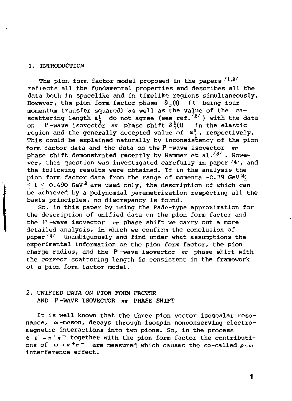## 1. INTRODUCTION

The pion form factor model proposed in the papers  $/1.2/$ reflects all the fundamental properties and describes all the data both in spacelike and in timelike regions simultaneously. However, the pion form factor phase  $\delta_{\pi}(\mathbf{t})$  (t being four momentum transfer squared) as well as the value of the *mt*scattering length  $a_1^1$  do not agree (see ref.'<sup>2'</sup>) with the data on P-wave isovector *nn* phase shift Sj(t) in the elastic region and the generally accepted value of  $a_1$ , respectively. This could be explained naturally by inconsistency of the pion form factor data and the data on the P-wave isovector  $\pi\pi$ phase shift demonstrated recently by Hammer et al.  $\frac{3}{4}$ . However, this question was investigated carefully in paper  $\frac{4}{4}$ , and the following results were obtained. If in the analysis the pion form factor data from the range of momenta -0.29 GeV *%\_*   $2 < t < 0.490$  GeV<sup>2</sup> are used only, the description of which can be achieved by a polynomial parametrization respecting all the basis principles, no discrepancy is found.

So, in this paper by using the Pade-type approximation for the description of unified data on the pion form factor and the P-wave isovector  $n\pi$  phase shift we carry out a more detailed analysis, in which we confirm the conclusion of  $paper <sup>4</sup>$  unambiguously and find under what assumptions the experimental information on the pion form factor, the pion charge radius, and the P-wave isovector *лп* phase shift with the correct scattering length is consistent in the framework of a pion form factor model.

## 2. UNIFIED DATA ON PION FORM FACTOR AND P-WAVE ISOVECTOR *mt* PHASE SHIFT

It is well known that the three pion vector isoscalar resonance, ш-meson, decays through isospin nonconserving electromagnetic interactions into two pions. So, in the process  $e^+e^-\rightarrow \pi^+\pi^-$  together with the pion form factor the contributions of  $\omega \rightarrow \pi^+\pi^-$  are measured which causes the so-called  $\rho-\omega$ interference effect.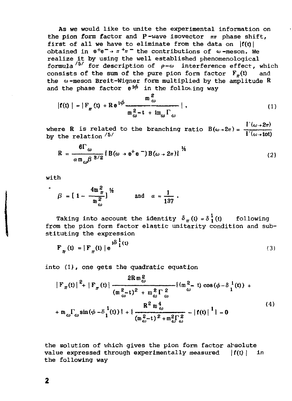As we would like to unite the experimental information on the pion form factor and P-wave isovector *nn* phase shift, first of all we have to eliminate from the data on  $|f(t)|$ obtained in  $e^+e^- \rightarrow \pi^+\pi^-$  the contributions of  $\omega$ -meson. We realize it by using the well established phenomenological formula <sup> $5/$ </sup> for description of  $\rho-\omega$  interference effect, which consists of the sum of the pure pion form factor  $\mathbf{F}_-(t)$  and consists of the sum of the pure pion form factor  $F_n(t)$ the *a>* -meson Breit-Wigner form multiplied by the amplitude R and the phase factor  $e^{i\phi}$  in the following way

$$
|\mathbf{f}(t)| = |\mathbf{F}_{\pi}(t) + \mathbf{R}e^{i\phi} \frac{\mathbf{m}_{\omega}^{2}}{\mathbf{m}_{\omega}^{2} - t + i\mathbf{m}_{\omega}\Gamma_{\omega}}|,
$$
 (1)

where R is related to the branching ratio  $B(\omega \rightarrow 2\pi) = \frac{1}{\Gamma(\omega \rightarrow 60)}$ 

$$
R = \frac{6\Gamma_{\omega}}{a m_{\omega} \beta^{8/2}} \left\{ B(\omega + e^{+}e^{-}) B(\omega + 2\pi) \right\}^{1/2}
$$
 (2)

with

$$
\beta = [1 - \frac{4m_{\pi}^2}{m_{\omega}^2}]^{1/2} \quad \text{and} \quad a \approx \frac{1}{137} \; .
$$

Taking into account the identity  $\delta_{\pi}(t) = \delta_1^1(t)$  following from the pion form factor elastic unitarity condition and substituting the expression

$$
\mathbf{F}_{\pi}(\mathbf{t}) = \left| \mathbf{F}_{\pi}(\mathbf{t}) \right| e^{i\delta \frac{1}{2}(\mathbf{t})}
$$
 (3)

into  $(1)$ , one gets the quadratic equation

$$
|\mathbf{F}_{\pi}(t)|^{2} + |\mathbf{F}_{\pi}(t)| \frac{2R \mathbf{m}^{2}_{\omega}}{(\mathbf{m}^{2}_{\omega} - t)^{2} + \mathbf{m}^{2}_{\omega} \Gamma^{2}_{\omega}} \{(\mathbf{m}^{2}_{\omega} - t) \cos(\phi - \delta_{1}^{1}(t)) + \mathbf{m} \mathbf{m} \Gamma_{\omega} \sin(\phi - \delta_{1}^{1}(t))\} + \{\frac{R^{2} \mathbf{m}^{4}_{\omega}}{(\mathbf{m}^{2}_{\omega} - t)^{2} + \mathbf{m}^{2}_{\omega} \Gamma^{2}_{\omega}} - |\mathbf{f}(t)|^{1}\} = 0
$$
\n(4)

the solution of which gives the pion form factor absolute value expressed through experimentally measured  $| f(t) |$  in the following way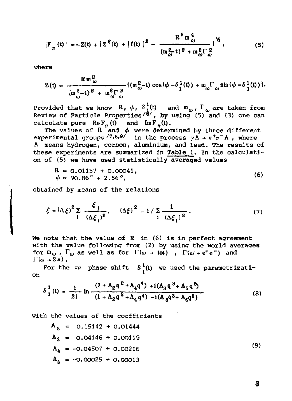$$
|F_{\pi}(t)| = -Z(t) + [Z^{2}(t) + [f(t)]^{2} - \frac{R^{2}m_{\omega}^{4}}{(m_{\omega}^{2}t)^{2} + m_{\omega}^{2}\Gamma_{\omega}^{2}}]^{1/4}, \qquad (5)
$$

where

$$
Z(t) = \frac{R m_{\omega}^{2}}{(m_{\omega}^{2} - t)^{\ell} + m_{\omega}^{\ell} \Gamma_{\omega}^{\ell}} \{ (m_{\omega}^{2} - t) \cos(\phi - \delta_{1}^{1}(t)) + m_{\omega} \Gamma_{\omega} \sin(\phi - \delta_{1}^{1}(t)) \}.
$$

Provided that we know  $R$ ,  $\phi$ ,  $\delta_1^1(t)$  and  $m_\omega$ ,  $\Gamma_\omega$  are taken from Review of Particle Properties<sup>/8</sup>, by using (5) and (3) one can calculate pure  $\operatorname{Re} F_{\pi}$  (t) and  $\operatorname{Im} F_{\pi}$  (t).

The values of R  $'$  and  $\phi$  were determined by three different experimental groups  $/7.8.9$  in the process  $y \overline{A}$  +  $\pi^+ \pi^- A$ , where A means hydrogen, corbon, aluminium, and lead. The results of these experiments are summarized in Table 1. In the calculation of (5) we have used statistically averaged values

$$
R = 0.01157 + 0.00041,\n\phi = 90.86^{\circ} + 2.56^{\circ},
$$
\n(6)

obtained by means of the relations

$$
\xi = (\Delta \xi)^2 \sum_{i} \frac{\xi_i}{(\Delta \xi_i)^2}, \quad (\Delta \xi)^2 = 1 / \sum_{i} \frac{1}{(\Delta \xi_i)^2}.
$$
 (7)

We note that the value of  $R$  in  $(6)$  is in perfect agreement with the value following from (2) by using the world averages for  $m_{\omega}$ ,  $\Gamma_{\omega}$  as well as for  $\Gamma(\omega + \omega t)$  ,  $\Gamma(\omega + e^{+}e^{-})$  and  $\Gamma(\omega+2\pi)$ .

For the  $\pi\pi$  phase shift  $\delta^1(0)$  we used the parametrization

$$
\delta_{1}^{1}(t) = \frac{1}{2i} \ln \frac{(1 + A_{2}q^{2} + A_{4}q^{4}) + i(A_{3}q^{3} + A_{5}q^{5})}{(1 + A_{2}q^{2} + A_{4}q^{4}) - i(A_{3}q^{3} + A_{6}q^{5})}
$$
(8)

with the values of the coefficients

$$
A2 = 0.15142 + 0.01444
$$
  
\n
$$
A3 = 0.04146 + 0.00119
$$
  
\n
$$
A4 = -0.04507 + 0.00216
$$
  
\n
$$
A5 = -0.00025 + 0.00013
$$
 (9)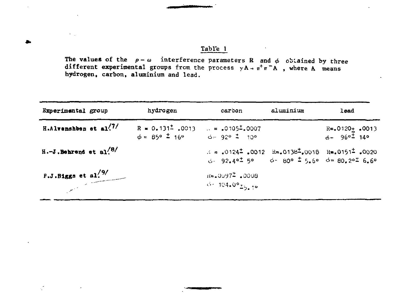The values of the  $p-\omega$  interference parameters R and  $\phi$  obtained by three different experimental groups from the process  $yA \rightarrow \pi^+ \pi^- A$ , where A means hydrogen, carbon, aluminium and lead.

 $\epsilon_{\rm{max}}$ 

| Experimental group                     | hydrogen                                                                                                                                                                                                                                                                                                                                                                   | carbon                                                                                                                                                                                                                              | aluminium | lead                                                    |
|----------------------------------------|----------------------------------------------------------------------------------------------------------------------------------------------------------------------------------------------------------------------------------------------------------------------------------------------------------------------------------------------------------------------------|-------------------------------------------------------------------------------------------------------------------------------------------------------------------------------------------------------------------------------------|-----------|---------------------------------------------------------|
| H.Alvenshben et al. <sup>77</sup>      | $R = 0.131^2$ , 0013 $\ldots = .0105^2$ , 0007<br>$\phi = 85^{\circ}$ $\frac{1}{2}$ 16° $\frac{1}{2}$ $\frac{1}{2}$ $\frac{1}{2}$ $\frac{1}{2}$ $\frac{1}{2}$ $\frac{1}{2}$ $\frac{1}{2}$ $\frac{1}{2}$ $\frac{1}{2}$ $\frac{1}{2}$ $\frac{1}{2}$ $\frac{1}{2}$ $\frac{1}{2}$ $\frac{1}{2}$ $\frac{1}{2}$ $\frac{1}{2}$ $\frac{1}{2}$ $\frac{1}{2}$ $\frac{1}{2}$ $\frac{$ |                                                                                                                                                                                                                                     |           | $R = .0120 \pm .0013$<br>$\phi = 96^\circ \pm 14^\circ$ |
| $H.-J$ . Behrend et al. <sup>78/</sup> |                                                                                                                                                                                                                                                                                                                                                                            | $\lambda = 0.0124^{\frac{1}{2}}$ $\cdot 0.0012$ $\text{Re} = 0.0138^{\frac{1}{2}} \cdot 0.0018$ $\text{Re} = 0.0151^{\frac{1}{2}} \cdot 0.020$<br>$\phi$ 92.4° <sup>±</sup> 5° $\phi$ 80° $\pm$ 5.6° $\phi$ 80.2° <sup>±</sup> 6.6° |           |                                                         |
| F.J.Biggs et al. $\frac{9}{3}$         |                                                                                                                                                                                                                                                                                                                                                                            | $16 - 0097^2 - 0008$<br>$0.104.09$ $\frac{1}{2}$ $\frac{1}{2}$                                                                                                                                                                      |           |                                                         |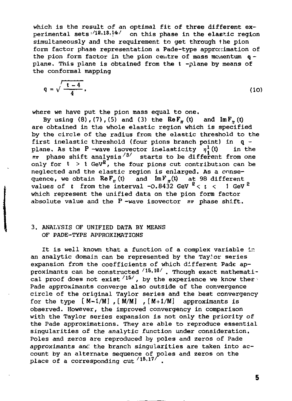which is the result of an optimal fit of three different experimental sets on this phase in the elastic region simultaneously and the requirement to get through the pion form factor phase representation a Pade-type approximation of the pion form factor in the pion centre of mass momentum  $q$  plane. This plane is obtained from the t -plane by means of the conformal mapping

$$
q = \sqrt{\frac{t-4}{4}},
$$
 (10)

where we have put the pion mass equal to one.<br>By using  $(8)$ ,  $(7)$ ,  $(5)$  and  $(3)$  the ReF<sub>r</sub>  $(t)$  and ImF<sub>r</sub>  $(t)$ By using  $(8)$ ,  $(7)$ ,  $(5)$  and  $(3)$  the ReF<sub>m</sub> (t) are obtained in the whole elastic region which is specified by the circle of the radius from the elastic threshold to the first inelastic threshold (four pions branch point) in  $q -$ plane, As the P-wave isovector inelasticity  $n^1$ (t) in the plane. As the P -wave isovector inelasticity  $\eta_i^1(t)$ *nn* phase shift analysis''<sup>8</sup>'' starts to be different from one only for  $t > 1$  GeV<sup>2</sup>, the four pions cut contribution can be neglected and the elastic region is enlarged. As a consequence, we obtain Re $F_{\pi}$ (t) and Im $F_{\pi}$ (t) at 98 different values of  $t$  from the interval -0.8432 GeV  $^k$ <  $t$  <  $\,$  1 GeV  $^k$ which represent the unified data on the pion form factor absolute value and the P -wave isovector *nn* phase shift.

## 3. ANALYSIS OF UNIFIED DATA BY MEANS OF PADE-TYPE APPROXIMATIONS

It is well known that a function of a complex variable in an analytic domain can be represented by the Tay.'or series expansion from the coefficients of which different Pade approximants can be constructed  $/15,16/$  . Though exact mathemati cal proof does not exist  */15/* , by the experience we know thes Pade approximants converge also outside of the convergence circle of the original Taylor series and the best convergency for the type  $[M-1/M]$  ,  $[M/M]$  ,  $[M+1/M]$  approximants is observed. However, the improved convergency in comparison with the Taylor series expansion is not only the priority of the Pade approximations. They are able to reproduce essential singularities of the analytic function under consideration, Poles and zeros are reproduced by poles and zeros of Pade approximants anc' the branch singularities are taken into account by an alternate sequence of poles and zeros on the place of a corresponding  $cut / 18.17/$  .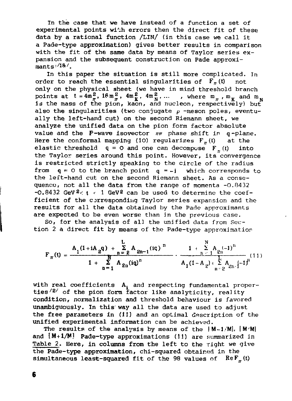In the case that we have instead of a function a set of experimental points with errors then the direct fit of these data by a rational function /LIN/ (in this case we call it a Pade-type approximation) gives better results in comparison with the fit of the same data by means of Taylor series expansion and the subsequent construction on Pade approximants: $/18/$ .

In this paper the situation is still more complicated, in order to reach the essential singularities of  $\overline{F}_n(t)$ only on the physical sheet (we have in mind threshold branch points at  $t = 4m_{\pi}^2$ ,  $16m_{\pi}^2$ ,  $4m_K^2$ ,  $4m_N^2$ , ... , where  $m_{\pi}$ ,  $m_K$  and  $m_N$ is the mass of the pion, kaon, and nucleon, respectively) but also the singularities (two conjugate  $\rho$  -meson poles, eventually the left-hand cut) on the second Riemann sheet, we analyze the unified data on the pion form factor absolute value and the P-wave isovector *mr* phase shift *in* q-plane. Here the conformal mapping (10) regularizes  $F_{\pi}$ (t) at the elastic threshold  $q = 0$  and one can decompose  $F_n(t)$  into the Taylor series around this point. However, its convergence is restricted strictly speaking to the circle of the radius from  $q = 0$  to the branch point  $q = -i$  which corresponds to the left-hand cut on the second Riemann sheet. As a consequence, not all the data from the range of momenta -O.B4 32 -0.8432 GeV2< t *<* 1 GeV2 can be used to determine the coefficient of the corresponding Taylor series expansion and the results for all the data obtained by the Pade approximants are expected to be even worse than in the previous case.

So, for the analysis of all the unified data from Section 2 a direct fit by means of the Pade-type approximation

$$
F_{\pi}(t) = \frac{A_1(1+iA_2q) + \sum_{n=2}^{L} A_{2n-1}(iq)^n}{1 + \sum_{n=1}^{N} A_{2n}(iq)^n} \cdot \frac{1 + \sum_{n=1}^{N} A_{2n}(-1)^n}{A_1(1-A_2) + \sum_{n=2}^{L} A_{2n}(-1)^n} (11)
$$

with real coefficients A, and respecting fundamental properties  */s '* of the pion form factor like analyticity, reality condition, normalization and threshold behaviour is favored unambiguously. In this' way all the data are used to adjust the free parameters in (11) and an optimal description of the unified experimental information can be achieved.

The results of the analysis by means of the  $[M-1/M], [M/M]$ and  $[M+1/M]$  Pade-type approximations (11) are summarized in Table 2. Here, in columns from the left to the right we give the Pade-type approximation, chi-squared obtained in the simultaneous least-squared fit of the 98 values of  $\text{Re }F_{n}(t)$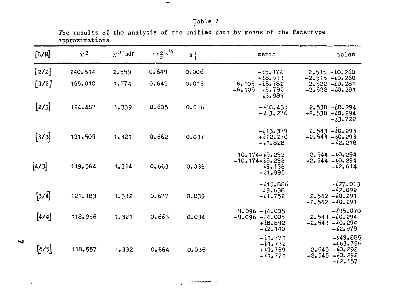| ı<br>n.<br>æ<br>٦ |  |
|-------------------|--|
|-------------------|--|

The results of the analysis of the unified data by means of the Pade-type approximations

 $\overline{\phantom{m}}$ 

| [L/M]   | $\chi^2$ | $\chi^2$ ndf | $T^2 \frac{2}{\pi}$ | $a_1^1$ | zeros                                                             | poles                                                                       |
|---------|----------|--------------|---------------------|---------|-------------------------------------------------------------------|-----------------------------------------------------------------------------|
| [2/2]   | 240.514  | 2.559        | 0.649               | 0.006   | $-15.174$                                                         | $2.515 - 10.260$                                                            |
| $[3/2]$ | 165.010  | 1.774        | 0.645               | 0.015   | $+18.933$<br>$6.105 - 5.782$<br>$-6.105 + 15.782$<br>63.989       | $-2.515 - 0.260$<br>$2.522 - 0.281$<br>$-2.522 - 10.281$                    |
| [2/3]   | 124.487  | 1.339        | 0.605               | 0.016   | $-118.435$<br>$-13.276$                                           | $2.538 - 0.294$<br>$-2.538 - 0.294$<br>$-13.722$                            |
| [3/3]   | 121.509  | 1.321        | 0.662               | 0.037   | $-113.379$<br>$+112.270$<br>$-11.828$                             | $2.543 - 10.293$<br>$-2.543 - 0.293$<br>$-42,218$                           |
| [4/3]   | 119.564  | 1.314        | 0.663               | 0.036   | $10.174 - 15.292$<br>$-10.174 - 65.292$<br>$+19.136$<br>$-11.995$ | $2.544 - 10.294$<br>$-2.544 - 10.294$<br>$-42.614$                          |
| $[3/4]$ | 121.183  | 1.332        | 0.677               | 0.039   | $-115.886$<br>19.638<br>$-41.752$                                 | $+427.063$<br>$-42.092$<br>$2.542 - 60.291$<br>$-2.542 - 0.291$             |
| $[4/4]$ | 118.958  | 1.321        | 0,663               | 0.034   | $9.096 - 14.005$<br>$-9.096 - 4.005$<br>$+18.892$<br>$-12.140$    | $-195.070$<br>$2.543 - 10.294$<br>$-2.543 - 0.294$<br>$-12.979$             |
| $[4/5]$ | 118.557  | 1.332        | 0.664               | 0.036   | $-11.771$<br>$-11.772$<br>$+19.769$<br>$-11.771$                  | $-449.885$<br>$+63.756$<br>$2.545 - 0.292$<br>$-2.545 - 0.292$<br>$-12.157$ |

 $\sim$ 

 $\overline{\phantom{a}}$ 

 $\cdot$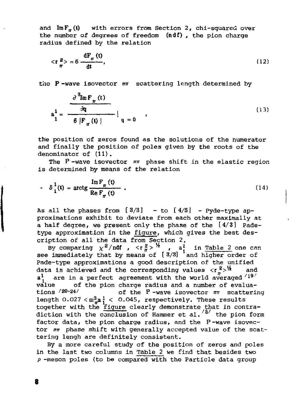and  $\text{Im } F_{\pi}$  (t) with errors from Section 2, chi-squared over the number of degrees of freedom (ndf) , the pion charge radius defined by the relation

$$
\langle \mathbf{r} \rangle = 6 \frac{\mathrm{d} \mathbf{F}_{\pi}(\mathbf{t})}{\mathrm{d} \mathbf{t}},\tag{12}
$$

the P-wave isovector  $m$  scattering length determined by

$$
a_1^1 = \frac{\frac{\partial^3 \text{Im} F_{\pi}(t)}{\partial q}}{\frac{\partial}{\partial \left| F_{\pi}(t) \right|}} \Big|_{q=0} \qquad , \qquad (13)
$$

the position of zeros found as the solutions of the numerator and finally the position of poles given by the roots of the denominator of (11).

The P -wave isovector *nn* phase shift in the elastic region is determined by means of the relation

$$
\hat{\delta}_1^1(t) = \arctg \frac{\operatorname{Im} F_\pi(t)}{\operatorname{Re} F_\pi(t)} \tag{14}
$$

As all the phases from  $[3/3]$  - to  $[4/5]$  - Pyde-type approximations exhibit to deviate from each other maximally at a half degree, we present only the phase of the [4/3] Padetype approximation in the figure, which gives the best description of all the data from Section 2.

By comparing  $\chi^2$ /ndf , <r $\frac{z}{a}$ >  $\frac{z}{a}$  , a in Table 2 one can see immediately that by means of [3/3]  $\,$  and higher order of Pade-type approximations a good description of the unified data is achieved and the corresponding values <r *<sup>z</sup>> 1 ^* and a! are in a perfect agreement with the world averaged  $'{}^{19'}$ value of the pion charge radius and a number of evaluations /20-24/ of the P -wave isovector *rm* scattering length  $0.027 < m_\pi^3$  /  $< 0.045$ , respectively. These results together with the figure clearly demonstrate that in contradiction with the conclusion of Hammer et al.'<sup>4'</sup> the pion form factor data, the pion charge radius, and the P-wave isovector *nn* phase shift with generally accepted value of the scattering lengh are definitely consistent.

By a more careful study of the position of zeros and poles in the last two columns in Table 2 we find that besides two  $\rho$  -meson poles (to be compared with the Particle data group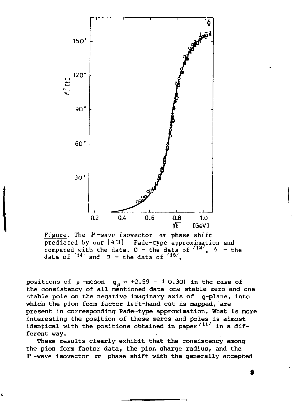

Figure. The P-wave isovector *mr* phase shift predicted by our  $[4,3]$  Pade-type approximation and compared with the data.  $0 -$  the data of  $^{127}$ ,  $\Delta$  - the data of  $14'$  and  $\Box$  - the data of  $15'$ .

positions of  $\rho$  -meson  $q_{\rho} = +2.59 - i 0.30$  in the case of the consistency of all mentioned data one stable zero and one stable pole on the negative imaginary axis of q-plane, into which the pion form factor left-hand cut is mapped, are present in corresponding Pade-type approximation. What is more interesting the position of these zeros and poles is almost identical with the positions obtained in paper<sup> $/11/$ </sup> in a different way.

These results clearly exhibit that the consistency among the pion form factor data, the pion charge radius, and the P -wave isovector *im* phase shift with the generally accepted

9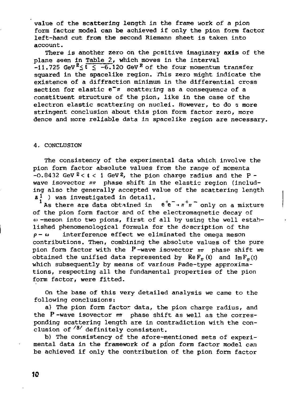value of the scattering length in the frame work of a pion form factor model can be achieved if only the pion form factor left-hand cut from the second Riemann sheet is taken into account.

There is another zero on the positive imaginary axis of the plane seen in Table 2, which moves in the interval  $-11.725$  GeV<sup>2</sup>  $\leq$   $\frac{1}{2}$   $\leq$   $-6.120$  GeV<sup>2</sup> of the four momentum transfer squared in the spacelike region. This zero might indicate the existence of a diffraction minimum in the differential cross section for elastic  $e^{\frac{1}{n}}$  scattering as a consequence of a constituent structure of the pion, like in the case of the electron elastic scattering on nuclei. However, to do g more stringent conclusion about this pion form factor zero, more dence and more reliable data in spacelike region are necessary.

#### 4. CONCLUSION

The consistency of the experimental data which involve the pion form factor absolute values from the range of momenta  $-0.8432$  GeV<sup>2</sup> < t < 1 GeV<sup>2</sup>, the pion charge radius and the P wave isovector  $n\pi$  phase shift in the elastic region (including also the generally accepted value of the scattering length  $a<sup>1</sup>$  ) was investigated in detail.

As there are data obtained in  $e^+e^- \rightarrow \pi^+\pi^-$  only on a mixture of the pion form factor and of the electromagnetic decay of -meson into two pions, first of all by using the well established phenomenological formula for the description of the *p- cu* interference effect we eliminated the omega meson contributions. Then, combining the absolute values of the pure pion form factor with the P-wave isovector *mr* phase shift we obtained the unified data represented by  $\text{Re}\,F_\pi(t)$  and  $\text{Im}\,F_\pi(t)$ which subsequently by means of various Pade-type approximations, respecting all the fundamental properties of the pion form factor, were fitted.

On the base of this very detailed analysis we came to the following conclusions:

a) The pion form factor data, the pion charge radius, and the P-wave isovector *mr* phase shift as well as the corresponding scattering length are in contradiction with the conclusion of  */s /* definitely consistent.

b) The consistency of the afore-mentioned sets of experimental data in the framework of a pion form factor model can be achieved if only the contribution of the pion form factor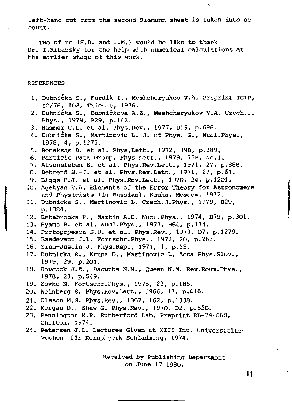left-hand cut from the second Riemann sheet is taken into account .

 $\hat{\mathbf{r}}$ 

Two of us (S.D. and J.M.) would be like to thank Dr. I.Ribansky for the help with numerical calculations at the earlier stage of this work.

### REFERENCES

- 1. Dubnicka S., Furdik I., Meshcheryakov V.A. Preprint ICTP, IC/76, 102, Trieste, 1976.
- 2. Dubnicka S., Dubnickova A.Z., Meshcheryakov V.A. Czech.J. Phys., 1979, B29, p.142.
- 3. Hammer C.L. et al. Phys.Rev., 1977, D15, p.696.
- 4. Dubnicka S., Martinovic L. J. of Phys. *G.*, Nucl.Phys., 1978, 4, p.1275.
- 5. Benaksas D. et al. Phys.Lett., 1972, 39B, p.289.
- 6. Particle Data Group. Phys.Lett., 1978, 75B, No.l.
- 7. Alvensleben H, et al. Phys.Rev.Lett., 1971, 27, p.888.
- 8. Behrend H.-J. et al. Phys.Rev.Lett,, 1971, 27, p.61.
- 9. Biggs P.J. et al. Phys.Rev.Lett., 1970, 24, p.1201.
- 10. Agekyan Т.Д. Elements of the Error Theory for Astronomers and Physicists (in Russian). Nauka, Moscow, 1972.
- 11. Dubnicka S., Martinovic L. Czech.J.Phys., 1979, B29, p.1384.
- 12. Estabrooks P., Martin A.D. Nucl.Phys., 1974, B79, p.301.
- 13. Hyams B. et al. Nucl.Phys., 1973, B64, p.134.
- 14. Protopopescu S.D. et al. Phys.Rev., 1973, D7, p.1279.
- 15. Basdevant J.L. Fortschr.Phys., 1972, 20, p.283.
- 16. Zinn-Justin J. Phys.Rep., 1971, 1, p.55.
- 17. Dubnicka S., Krupa D., Martinovic L. Acta Phys.Slov., 1979, 29, p.2ol.
- 18. Bowcock J.E., Dacunha N.M., Queen N.M. Rev.Roum.Phys., 1978, 23, p.549.
- 19. Zovko N. Fortschr.Phys., 1975, 23, p.185.
- 20. Weinberg S. Phys.Rev.Lett., 1966, 17, p.616.
- 21. Olsson M.G. Phys.Rev., 1967, 162, p.1338.
- 22. Morgan D., Shaw G. Phys.Rev., 1970, D2, p.520.
- 23. Pennington M.R. Rutherford Lab. Preprint RL-74-068, Chilton, 1974.
- 24. Petersen J.L. Lectures Given at XIII Int. Universitätswochen für Kernplygik Schladming, 1974.

Received by Publishing Department on June 17 1980.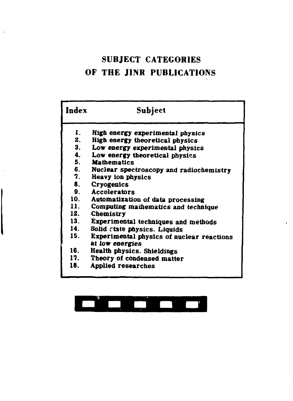## **SUBJECT CATEGORIES OF THE JINR PUBLICATIONS**